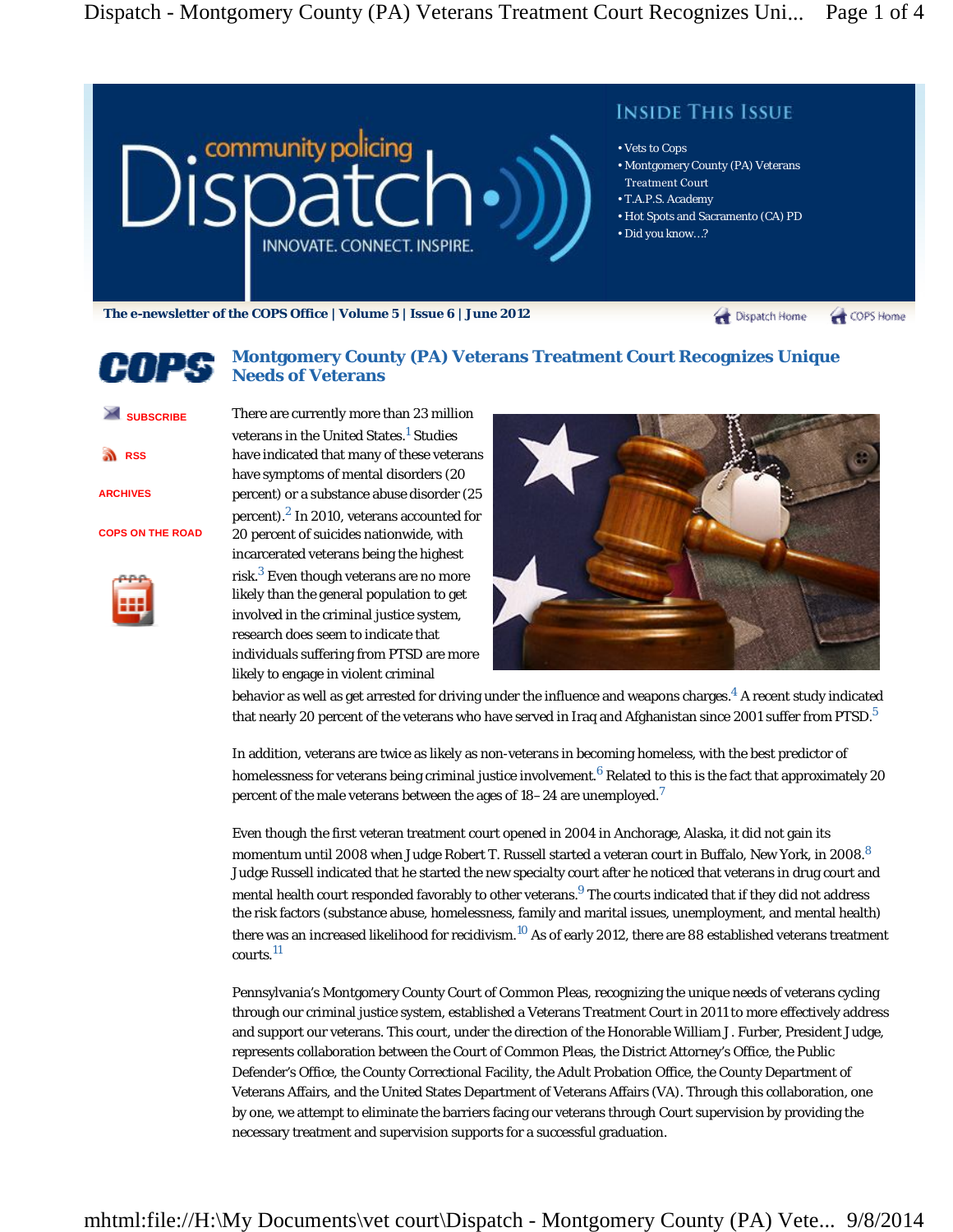

# 日月生地

## **Montgomery County (PA) Veterans Treatment Court Recognizes Unique Needs of Veterans**

| <b>SUBSCRIBE</b> |
|------------------|
| <b>RSS</b>       |
| <b>ARCHIVES</b>  |

**COPS ON THE ROAD**



veterans in the United States.<sup>1</sup> Studies have indicated that many of these veterans have symptoms of mental disorders (20 percent) or a substance abuse disorder (25 percent). $2$  In 2010, veterans accounted for 20 percent of suicides nationwide, with incarcerated veterans being the highest risk. $^3$  Even though veterans are no more likely than the general population to get involved in the criminal justice system, research does seem to indicate that individuals suffering from PTSD are more likely to engage in violent criminal

There are currently more than 23 million



behavior as well as get arrested for driving under the influence and weapons charges. $^4$  A recent study indicated that nearly 20 percent of the veterans who have served in Iraq and Afghanistan since 2001 suffer from PTSD.<sup>5</sup>

In addition, veterans are twice as likely as non-veterans in becoming homeless, with the best predictor of homelessness for veterans being criminal justice involvement.<sup>6</sup> Related to this is the fact that approximately 20 percent of the male veterans between the ages of  $18-24$  are unemployed.<sup>7</sup>

Even though the first veteran treatment court opened in 2004 in Anchorage, Alaska, it did not gain its momentum until 2008 when Judge Robert T. Russell started a veteran court in Buffalo, New York, in 2008.<sup>8</sup> Judge Russell indicated that he started the new specialty court after he noticed that veterans in drug court and mental health court responded favorably to other veterans.<sup>9</sup> The courts indicated that if they did not address the risk factors (substance abuse, homelessness, family and marital issues, unemployment, and mental health) there was an increased likelihood for recidivism.<sup>10</sup> As of early 2012, there are 88 established veterans treatment courts.<sup>11</sup>

Pennsylvania's Montgomery County Court of Common Pleas, recognizing the unique needs of veterans cycling through our criminal justice system, established a Veterans Treatment Court in 2011 to more effectively address and support our veterans. This court, under the direction of the Honorable William J. Furber, President Judge, represents collaboration between the Court of Common Pleas, the District Attorney's Office, the Public Defender's Office, the County Correctional Facility, the Adult Probation Office, the County Department of Veterans Affairs, and the United States Department of Veterans Affairs (VA). Through this collaboration, one by one, we attempt to eliminate the barriers facing our veterans through Court supervision by providing the necessary treatment and supervision supports for a successful graduation.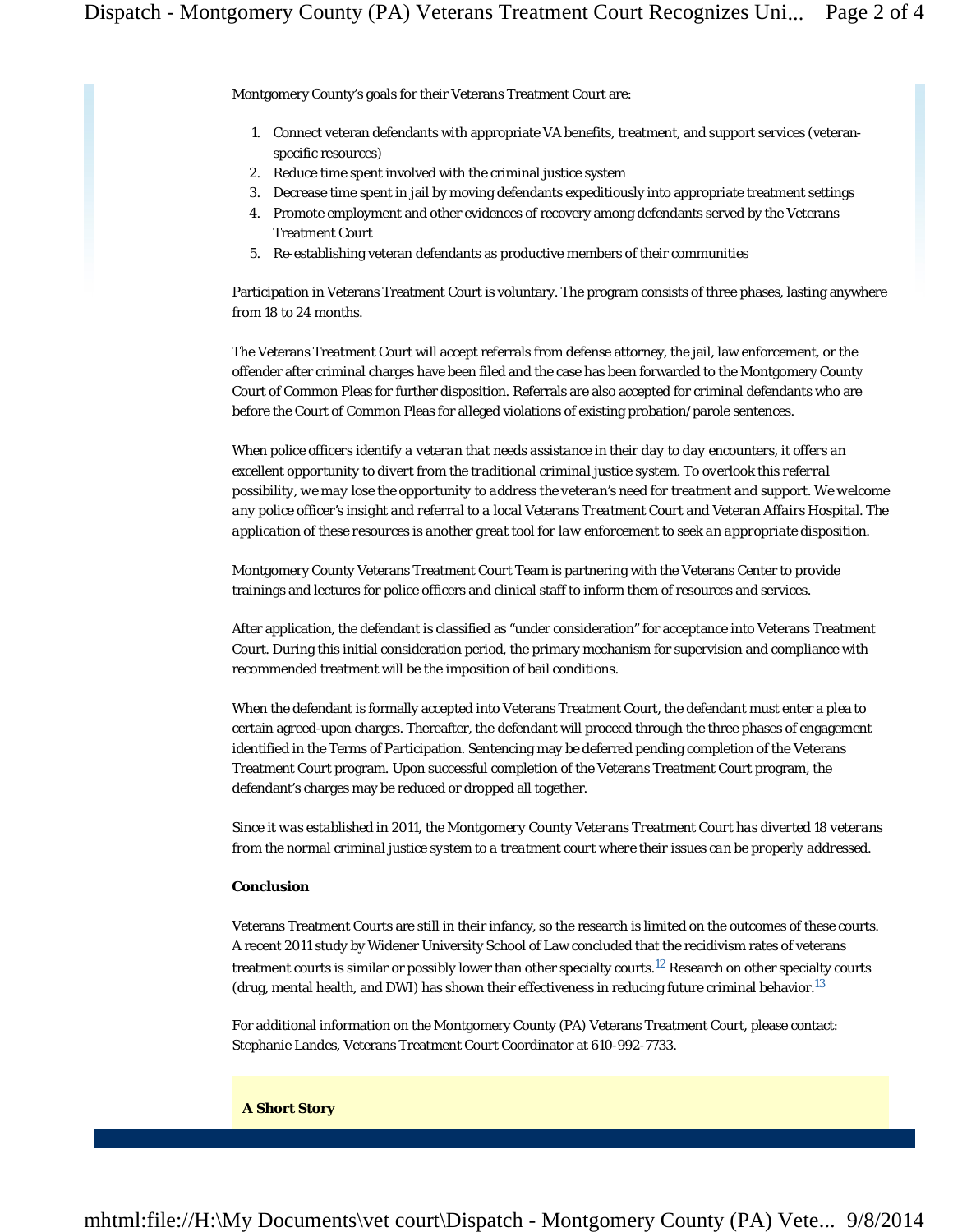Montgomery County's goals for their Veterans Treatment Court are:

- 1. Connect veteran defendants with appropriate VA benefits, treatment, and support services (veteranspecific resources)
- 2. Reduce time spent involved with the criminal justice system
- 3. Decrease time spent in jail by moving defendants expeditiously into appropriate treatment settings
- 4. Promote employment and other evidences of recovery among defendants served by the Veterans Treatment Court
- 5. Re-establishing veteran defendants as productive members of their communities

Participation in Veterans Treatment Court is voluntary. The program consists of three phases, lasting anywhere from 18 to 24 months.

The Veterans Treatment Court will accept referrals from defense attorney, the jail, law enforcement, or the offender after criminal charges have been filed and the case has been forwarded to the Montgomery County Court of Common Pleas for further disposition. Referrals are also accepted for criminal defendants who are before the Court of Common Pleas for alleged violations of existing probation/parole sentences.

*When police officers identify a veteran that needs assistance in their day to day encounters, it offers an excellent opportunity to divert from the traditional criminal justice system. To overlook this referral possibility, we may lose the opportunity to address the veteran's need for treatment and support. We welcome any police officer's insight and referral to a local Veterans Treatment Court and Veteran Affairs Hospital. The application of these resources is another great tool for law enforcement to seek an appropriate disposition.*

Montgomery County Veterans Treatment Court Team is partnering with the Veterans Center to provide trainings and lectures for police officers and clinical staff to inform them of resources and services.

After application, the defendant is classified as "under consideration" for acceptance into Veterans Treatment Court. During this initial consideration period, the primary mechanism for supervision and compliance with recommended treatment will be the imposition of bail conditions.

When the defendant is formally accepted into Veterans Treatment Court, the defendant must enter a plea to certain agreed-upon charges. Thereafter, the defendant will proceed through the three phases of engagement identified in the Terms of Participation. Sentencing may be deferred pending completion of the Veterans Treatment Court program. Upon successful completion of the Veterans Treatment Court program, the defendant's charges may be reduced or dropped all together.

*Since it was established in 2011, the Montgomery County Veterans Treatment Court has diverted 18 veterans from the normal criminal justice system to a treatment court where their issues can be properly addressed.*

#### **Conclusion**

Veterans Treatment Courts are still in their infancy, so the research is limited on the outcomes of these courts. A recent 2011 study by Widener University School of Law concluded that the recidivism rates of veterans treatment courts is similar or possibly lower than other specialty courts.<sup>12</sup> Research on other specialty courts (drug, mental health, and DWI) has shown their effectiveness in reducing future criminal behavior.<sup>13</sup>

For additional information on the Montgomery County (PA) Veterans Treatment Court, please contact: Stephanie Landes, Veterans Treatment Court Coordinator at 610-992-7733.

#### **A Short Story**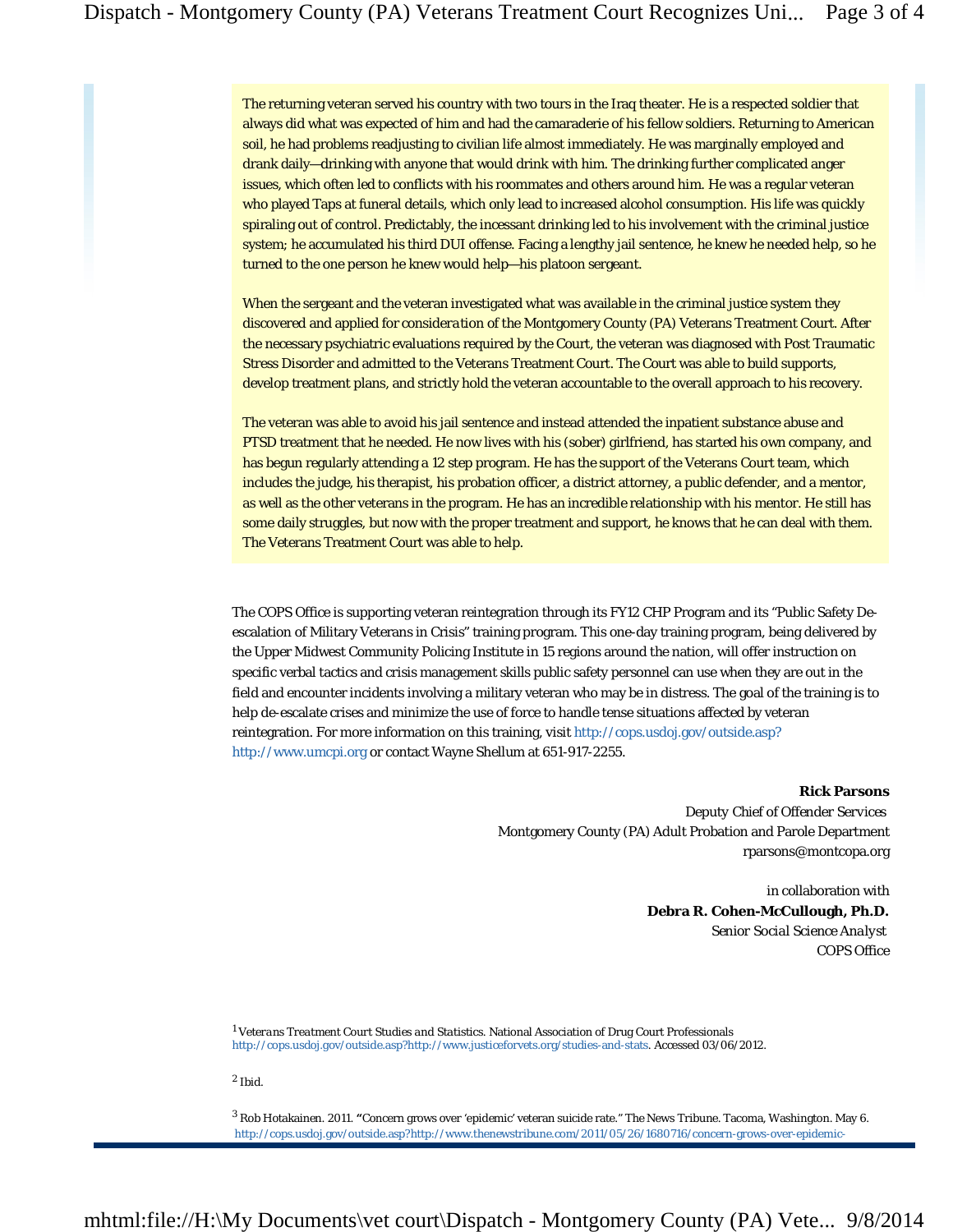The returning veteran served his country with two tours in the Iraq theater. He is a respected soldier that always did what was expected of him and had the camaraderie of his fellow soldiers. Returning to American soil, he had problems readjusting to civilian life almost immediately. He was marginally employed and drank daily—drinking with anyone that would drink with him. The drinking further complicated anger issues, which often led to conflicts with his roommates and others around him. He was a regular veteran who played Taps at funeral details, which only lead to increased alcohol consumption. His life was quickly spiraling out of control. Predictably, the incessant drinking led to his involvement with the criminal justice system; he accumulated his third DUI offense. Facing a lengthy jail sentence, he knew he needed help, so he turned to the one person he knew would help—his platoon sergeant.

When the sergeant and the veteran investigated what was available in the criminal justice system they discovered and applied for *consideration of* the Montgomery County (PA) Veterans Treatment Court. After the necessary psychiatric evaluations required by the Court, the veteran was diagnosed with Post Traumatic Stress Disorder and admitted to the Veterans Treatment Court. The Court was able to build supports, develop treatment plans, and strictly hold the veteran accountable to the overall approach to his recovery.

The veteran was able to avoid his jail sentence and instead attended the inpatient substance abuse and PTSD treatment that he needed. He now lives with his (sober) girlfriend, has started his own company, and has begun regularly attending a 12 step program. He has the support of the Veterans Court team, which includes the judge, his therapist, his probation officer, a district attorney, a public defender, and a mentor, as well as the other veterans in the program. He has an incredible relationship with his mentor. He still has some daily struggles, but now with the proper treatment and support, he knows that he can deal with them. The Veterans Treatment Court was able to help.

The COPS Office is supporting veteran reintegration through its FY12 CHP Program and its "Public Safety Deescalation of Military Veterans in Crisis" training program. This one-day training program, being delivered by the Upper Midwest Community Policing Institute in 15 regions around the nation, will offer instruction on specific verbal tactics and crisis management skills public safety personnel can use when they are out in the field and encounter incidents involving a military veteran who may be in distress. The goal of the training is to help de-escalate crises and minimize the use of force to handle tense situations affected by veteran reintegration. For more information on this training, visit http://cops.usdoj.gov/outside.asp? http://www.umcpi.org or contact Wayne Shellum at 651-917-2255.

#### **Rick Parsons**

*Deputy Chief of Offender Services* Montgomery County (PA) Adult Probation and Parole Department rparsons@montcopa.org

> in collaboration with **Debra R. Cohen-McCullough, Ph.D.**  *Senior Social Science Analyst* COPS Office

<sup>1</sup> *Veterans Treatment Court Studies and Statistics*. National Association of Drug Court Professionals http://cops.usdoj.gov/outside.asp?http://www.justiceforvets.org/studies-and-stats. Accessed 03/06/2012.

2 Ibid.

3 Rob Hotakainen. 2011. **"**Concern grows over 'epidemic' veteran suicide rate." *The News Tribune.* Tacoma, Washington. May 6. http://cops.usdoj.gov/outside.asp?http://www.thenewstribune.com/2011/05/26/1680716/concern-grows-over-epidemic